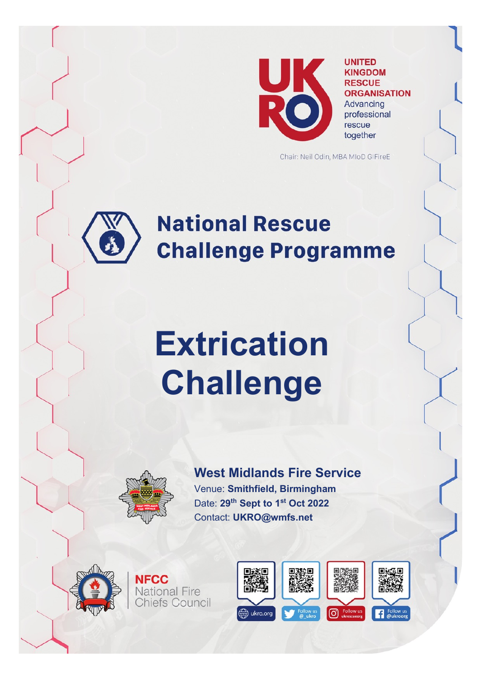

**UNITED KINGDOM RESCUE ORGANISATION** Advancing

professional rescue together

Chair: Neil Odin, MBA MIoD GIFireE

# **National Rescue Challenge Programme**

# **Extrication Challenge**



**NFCC** 

**National Fire Chiefs Council** 

**West Midlands Fire Service** Venue: **Smithfield, Birmingham** Date: **29th Sept to 1st Oct 2022** Contact: **UKRO@wmfs.net**



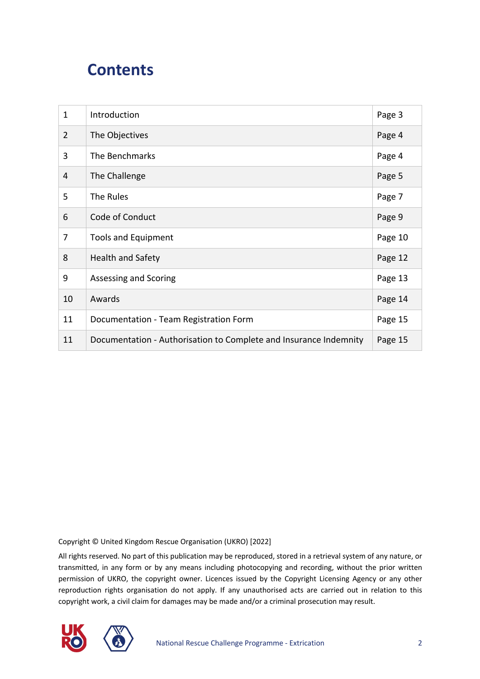#### **Contents**

| $\mathbf{1}$   | Introduction                                                      | Page 3  |
|----------------|-------------------------------------------------------------------|---------|
| $\overline{2}$ | The Objectives                                                    | Page 4  |
| 3              | The Benchmarks                                                    | Page 4  |
| 4              | The Challenge                                                     | Page 5  |
| 5              | The Rules                                                         | Page 7  |
| 6              | Code of Conduct                                                   | Page 9  |
| 7              | <b>Tools and Equipment</b>                                        | Page 10 |
| 8              | <b>Health and Safety</b>                                          | Page 12 |
| 9              | Assessing and Scoring                                             | Page 13 |
| 10             | Awards                                                            | Page 14 |
| 11             | Documentation - Team Registration Form                            | Page 15 |
| 11             | Documentation - Authorisation to Complete and Insurance Indemnity | Page 15 |

Copyright © United Kingdom Rescue Organisation (UKRO) [2022]

All rights reserved. No part of this publication may be reproduced, stored in a retrieval system of any nature, or transmitted, in any form or by any means including photocopying and recording, without the prior written permission of UKRO, the copyright owner. Licences issued by the Copyright Licensing Agency or any other reproduction rights organisation do not apply. If any unauthorised acts are carried out in relation to this copyright work, a civil claim for damages may be made and/or a criminal prosecution may result.

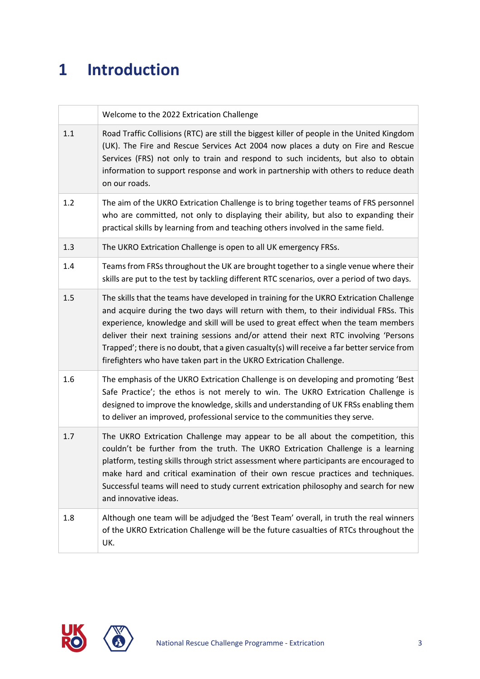## **1 Introduction**

|     | Welcome to the 2022 Extrication Challenge                                                                                                                                                                                                                                                                                                                                                                                                                                                                                             |
|-----|---------------------------------------------------------------------------------------------------------------------------------------------------------------------------------------------------------------------------------------------------------------------------------------------------------------------------------------------------------------------------------------------------------------------------------------------------------------------------------------------------------------------------------------|
| 1.1 | Road Traffic Collisions (RTC) are still the biggest killer of people in the United Kingdom<br>(UK). The Fire and Rescue Services Act 2004 now places a duty on Fire and Rescue<br>Services (FRS) not only to train and respond to such incidents, but also to obtain<br>information to support response and work in partnership with others to reduce death<br>on our roads.                                                                                                                                                          |
| 1.2 | The aim of the UKRO Extrication Challenge is to bring together teams of FRS personnel<br>who are committed, not only to displaying their ability, but also to expanding their<br>practical skills by learning from and teaching others involved in the same field.                                                                                                                                                                                                                                                                    |
| 1.3 | The UKRO Extrication Challenge is open to all UK emergency FRSs.                                                                                                                                                                                                                                                                                                                                                                                                                                                                      |
| 1.4 | Teams from FRSs throughout the UK are brought together to a single venue where their<br>skills are put to the test by tackling different RTC scenarios, over a period of two days.                                                                                                                                                                                                                                                                                                                                                    |
| 1.5 | The skills that the teams have developed in training for the UKRO Extrication Challenge<br>and acquire during the two days will return with them, to their individual FRSs. This<br>experience, knowledge and skill will be used to great effect when the team members<br>deliver their next training sessions and/or attend their next RTC involving 'Persons<br>Trapped'; there is no doubt, that a given casualty(s) will receive a far better service from<br>firefighters who have taken part in the UKRO Extrication Challenge. |
| 1.6 | The emphasis of the UKRO Extrication Challenge is on developing and promoting 'Best<br>Safe Practice'; the ethos is not merely to win. The UKRO Extrication Challenge is<br>designed to improve the knowledge, skills and understanding of UK FRSs enabling them<br>to deliver an improved, professional service to the communities they serve.                                                                                                                                                                                       |
| 1.7 | The UKRO Extrication Challenge may appear to be all about the competition, this<br>couldn't be further from the truth. The UKRO Extrication Challenge is a learning<br>platform, testing skills through strict assessment where participants are encouraged to<br>make hard and critical examination of their own rescue practices and techniques.<br>Successful teams will need to study current extrication philosophy and search for new<br>and innovative ideas.                                                                  |
| 1.8 | Although one team will be adjudged the 'Best Team' overall, in truth the real winners<br>of the UKRO Extrication Challenge will be the future casualties of RTCs throughout the<br>UK.                                                                                                                                                                                                                                                                                                                                                |



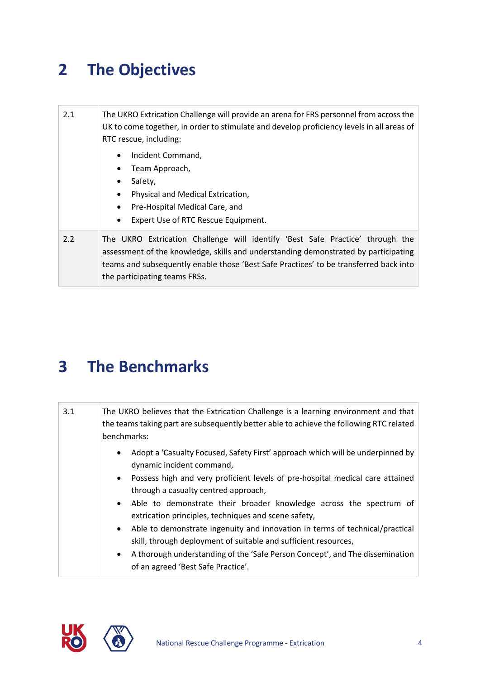#### **2 The Objectives**

| 2.1 | The UKRO Extrication Challenge will provide an arena for FRS personnel from across the<br>UK to come together, in order to stimulate and develop proficiency levels in all areas of<br>RTC rescue, including:                                                                                  |
|-----|------------------------------------------------------------------------------------------------------------------------------------------------------------------------------------------------------------------------------------------------------------------------------------------------|
|     | Incident Command,<br>$\bullet$<br>Team Approach,<br>Safety,<br>$\bullet$<br>Physical and Medical Extrication,<br>$\bullet$<br>Pre-Hospital Medical Care, and<br>$\bullet$<br>Expert Use of RTC Rescue Equipment.<br>$\bullet$                                                                  |
| 2.2 | The UKRO Extrication Challenge will identify 'Best Safe Practice' through the<br>assessment of the knowledge, skills and understanding demonstrated by participating<br>teams and subsequently enable those 'Best Safe Practices' to be transferred back into<br>the participating teams FRSs. |

#### **3 The Benchmarks**

| 3.1 | The UKRO believes that the Extrication Challenge is a learning environment and that<br>the teams taking part are subsequently better able to achieve the following RTC related<br>benchmarks:                          |
|-----|------------------------------------------------------------------------------------------------------------------------------------------------------------------------------------------------------------------------|
|     | Adopt a 'Casualty Focused, Safety First' approach which will be underpinned by<br>$\bullet$<br>dynamic incident command,<br>Possess high and very proficient levels of pre-hospital medical care attained<br>$\bullet$ |
|     | through a casualty centred approach,                                                                                                                                                                                   |
|     | Able to demonstrate their broader knowledge across the spectrum of<br>$\bullet$<br>extrication principles, techniques and scene safety,                                                                                |
|     | Able to demonstrate ingenuity and innovation in terms of technical/practical<br>$\bullet$<br>skill, through deployment of suitable and sufficient resources,                                                           |
|     | A thorough understanding of the 'Safe Person Concept', and The dissemination<br>$\bullet$<br>of an agreed 'Best Safe Practice'.                                                                                        |

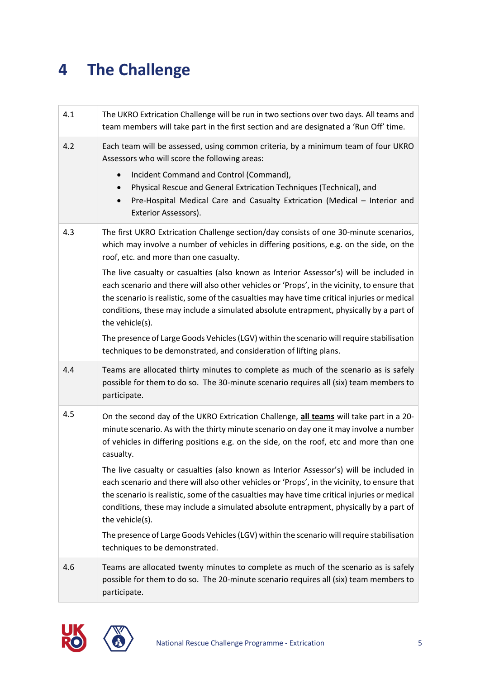#### **4 The Challenge**

| 4.1 | The UKRO Extrication Challenge will be run in two sections over two days. All teams and<br>team members will take part in the first section and are designated a 'Run Off' time.                                                                                                                                                                                                                                                                                                                                                                                                                                                                                                                                                                                                                                                |
|-----|---------------------------------------------------------------------------------------------------------------------------------------------------------------------------------------------------------------------------------------------------------------------------------------------------------------------------------------------------------------------------------------------------------------------------------------------------------------------------------------------------------------------------------------------------------------------------------------------------------------------------------------------------------------------------------------------------------------------------------------------------------------------------------------------------------------------------------|
| 4.2 | Each team will be assessed, using common criteria, by a minimum team of four UKRO<br>Assessors who will score the following areas:<br>Incident Command and Control (Command),<br>$\bullet$<br>Physical Rescue and General Extrication Techniques (Technical), and<br>Pre-Hospital Medical Care and Casualty Extrication (Medical - Interior and<br>Exterior Assessors).                                                                                                                                                                                                                                                                                                                                                                                                                                                         |
| 4.3 | The first UKRO Extrication Challenge section/day consists of one 30-minute scenarios,<br>which may involve a number of vehicles in differing positions, e.g. on the side, on the<br>roof, etc. and more than one casualty.<br>The live casualty or casualties (also known as Interior Assessor's) will be included in<br>each scenario and there will also other vehicles or 'Props', in the vicinity, to ensure that<br>the scenario is realistic, some of the casualties may have time critical injuries or medical<br>conditions, these may include a simulated absolute entrapment, physically by a part of<br>the vehicle(s).<br>The presence of Large Goods Vehicles (LGV) within the scenario will require stabilisation<br>techniques to be demonstrated, and consideration of lifting plans.                           |
| 4.4 | Teams are allocated thirty minutes to complete as much of the scenario as is safely<br>possible for them to do so. The 30-minute scenario requires all (six) team members to<br>participate.                                                                                                                                                                                                                                                                                                                                                                                                                                                                                                                                                                                                                                    |
| 4.5 | On the second day of the UKRO Extrication Challenge, all teams will take part in a 20-<br>minute scenario. As with the thirty minute scenario on day one it may involve a number<br>of vehicles in differing positions e.g. on the side, on the roof, etc and more than one<br>casualty.<br>The live casualty or casualties (also known as Interior Assessor's) will be included in<br>each scenario and there will also other vehicles or 'Props', in the vicinity, to ensure that<br>the scenario is realistic, some of the casualties may have time critical injuries or medical<br>conditions, these may include a simulated absolute entrapment, physically by a part of<br>the vehicle(s).<br>The presence of Large Goods Vehicles (LGV) within the scenario will require stabilisation<br>techniques to be demonstrated. |
| 4.6 | Teams are allocated twenty minutes to complete as much of the scenario as is safely<br>possible for them to do so. The 20-minute scenario requires all (six) team members to<br>participate.                                                                                                                                                                                                                                                                                                                                                                                                                                                                                                                                                                                                                                    |



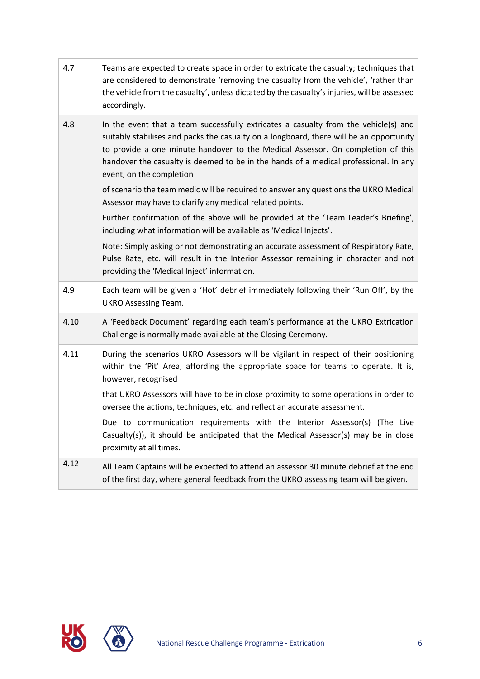| 4.7  | Teams are expected to create space in order to extricate the casualty; techniques that<br>are considered to demonstrate 'removing the casualty from the vehicle', 'rather than<br>the vehicle from the casualty', unless dictated by the casualty's injuries, will be assessed<br>accordingly.                                                                                        |
|------|---------------------------------------------------------------------------------------------------------------------------------------------------------------------------------------------------------------------------------------------------------------------------------------------------------------------------------------------------------------------------------------|
| 4.8  | In the event that a team successfully extricates a casualty from the vehicle(s) and<br>suitably stabilises and packs the casualty on a longboard, there will be an opportunity<br>to provide a one minute handover to the Medical Assessor. On completion of this<br>handover the casualty is deemed to be in the hands of a medical professional. In any<br>event, on the completion |
|      | of scenario the team medic will be required to answer any questions the UKRO Medical<br>Assessor may have to clarify any medical related points.                                                                                                                                                                                                                                      |
|      | Further confirmation of the above will be provided at the 'Team Leader's Briefing',<br>including what information will be available as 'Medical Injects'.                                                                                                                                                                                                                             |
|      | Note: Simply asking or not demonstrating an accurate assessment of Respiratory Rate,<br>Pulse Rate, etc. will result in the Interior Assessor remaining in character and not<br>providing the 'Medical Inject' information.                                                                                                                                                           |
| 4.9  | Each team will be given a 'Hot' debrief immediately following their 'Run Off', by the<br><b>UKRO Assessing Team.</b>                                                                                                                                                                                                                                                                  |
| 4.10 | A 'Feedback Document' regarding each team's performance at the UKRO Extrication<br>Challenge is normally made available at the Closing Ceremony.                                                                                                                                                                                                                                      |
| 4.11 | During the scenarios UKRO Assessors will be vigilant in respect of their positioning<br>within the 'Pit' Area, affording the appropriate space for teams to operate. It is,<br>however, recognised                                                                                                                                                                                    |
|      | that UKRO Assessors will have to be in close proximity to some operations in order to<br>oversee the actions, techniques, etc. and reflect an accurate assessment.                                                                                                                                                                                                                    |
|      | Due to communication requirements with the Interior Assessor(s) (The Live<br>Casualty(s)), it should be anticipated that the Medical Assessor(s) may be in close<br>proximity at all times.                                                                                                                                                                                           |
| 4.12 | All Team Captains will be expected to attend an assessor 30 minute debrief at the end<br>of the first day, where general feedback from the UKRO assessing team will be given.                                                                                                                                                                                                         |



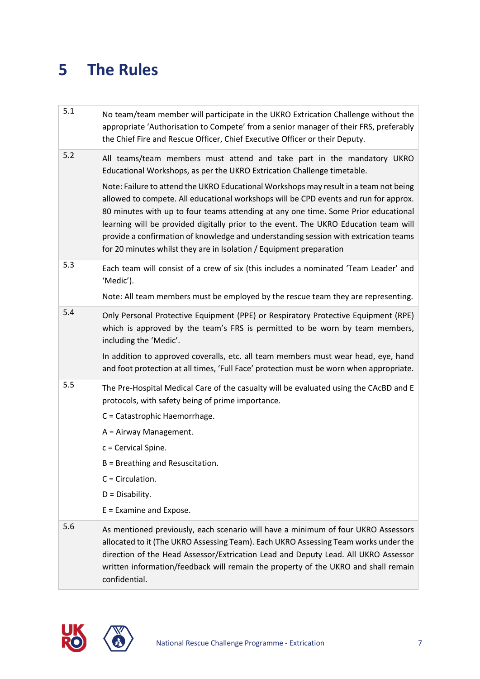#### **5 The Rules**

| 5.1 | No team/team member will participate in the UKRO Extrication Challenge without the<br>appropriate 'Authorisation to Compete' from a senior manager of their FRS, preferably<br>the Chief Fire and Rescue Officer, Chief Executive Officer or their Deputy.                                                                                                                                                                                                                                                                                                                                                                                                                      |
|-----|---------------------------------------------------------------------------------------------------------------------------------------------------------------------------------------------------------------------------------------------------------------------------------------------------------------------------------------------------------------------------------------------------------------------------------------------------------------------------------------------------------------------------------------------------------------------------------------------------------------------------------------------------------------------------------|
| 5.2 | All teams/team members must attend and take part in the mandatory UKRO<br>Educational Workshops, as per the UKRO Extrication Challenge timetable.<br>Note: Failure to attend the UKRO Educational Workshops may result in a team not being<br>allowed to compete. All educational workshops will be CPD events and run for approx.<br>80 minutes with up to four teams attending at any one time. Some Prior educational<br>learning will be provided digitally prior to the event. The UKRO Education team will<br>provide a confirmation of knowledge and understanding session with extrication teams<br>for 20 minutes whilst they are in Isolation / Equipment preparation |
| 5.3 | Each team will consist of a crew of six (this includes a nominated 'Team Leader' and<br>'Medic').                                                                                                                                                                                                                                                                                                                                                                                                                                                                                                                                                                               |
|     | Note: All team members must be employed by the rescue team they are representing.                                                                                                                                                                                                                                                                                                                                                                                                                                                                                                                                                                                               |
| 5.4 | Only Personal Protective Equipment (PPE) or Respiratory Protective Equipment (RPE)<br>which is approved by the team's FRS is permitted to be worn by team members,<br>including the 'Medic'.                                                                                                                                                                                                                                                                                                                                                                                                                                                                                    |
|     | In addition to approved coveralls, etc. all team members must wear head, eye, hand<br>and foot protection at all times, 'Full Face' protection must be worn when appropriate.                                                                                                                                                                                                                                                                                                                                                                                                                                                                                                   |
| 5.5 | The Pre-Hospital Medical Care of the casualty will be evaluated using the CAcBD and E<br>protocols, with safety being of prime importance.                                                                                                                                                                                                                                                                                                                                                                                                                                                                                                                                      |
|     | C = Catastrophic Haemorrhage.                                                                                                                                                                                                                                                                                                                                                                                                                                                                                                                                                                                                                                                   |
|     | A = Airway Management.                                                                                                                                                                                                                                                                                                                                                                                                                                                                                                                                                                                                                                                          |
|     | $c =$ Cervical Spine.                                                                                                                                                                                                                                                                                                                                                                                                                                                                                                                                                                                                                                                           |
|     | B = Breathing and Resuscitation.                                                                                                                                                                                                                                                                                                                                                                                                                                                                                                                                                                                                                                                |
|     | $C = Circulation$ .                                                                                                                                                                                                                                                                                                                                                                                                                                                                                                                                                                                                                                                             |
|     | $D = Disability.$                                                                                                                                                                                                                                                                                                                                                                                                                                                                                                                                                                                                                                                               |
|     | $E = Examine$ and Expose.                                                                                                                                                                                                                                                                                                                                                                                                                                                                                                                                                                                                                                                       |
| 5.6 | As mentioned previously, each scenario will have a minimum of four UKRO Assessors<br>allocated to it (The UKRO Assessing Team). Each UKRO Assessing Team works under the<br>direction of the Head Assessor/Extrication Lead and Deputy Lead. All UKRO Assessor<br>written information/feedback will remain the property of the UKRO and shall remain<br>confidential.                                                                                                                                                                                                                                                                                                           |

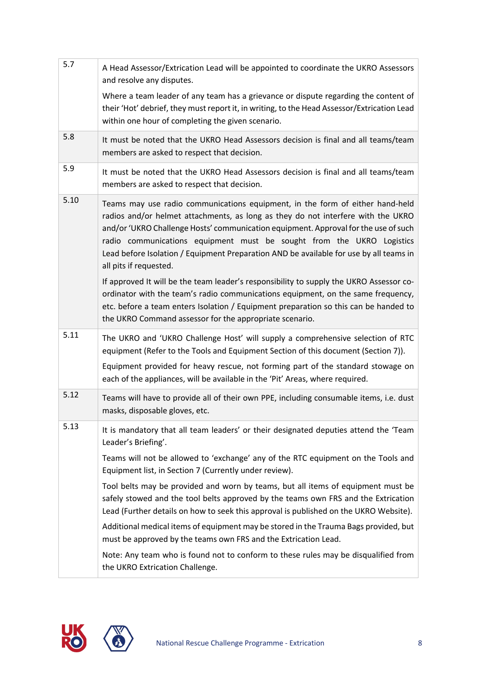| 5.7  | A Head Assessor/Extrication Lead will be appointed to coordinate the UKRO Assessors<br>and resolve any disputes.<br>Where a team leader of any team has a grievance or dispute regarding the content of<br>their 'Hot' debrief, they must report it, in writing, to the Head Assessor/Extrication Lead                                                                                                                                                |
|------|-------------------------------------------------------------------------------------------------------------------------------------------------------------------------------------------------------------------------------------------------------------------------------------------------------------------------------------------------------------------------------------------------------------------------------------------------------|
| 5.8  | within one hour of completing the given scenario.<br>It must be noted that the UKRO Head Assessors decision is final and all teams/team                                                                                                                                                                                                                                                                                                               |
|      | members are asked to respect that decision.                                                                                                                                                                                                                                                                                                                                                                                                           |
| 5.9  | It must be noted that the UKRO Head Assessors decision is final and all teams/team<br>members are asked to respect that decision.                                                                                                                                                                                                                                                                                                                     |
| 5.10 | Teams may use radio communications equipment, in the form of either hand-held<br>radios and/or helmet attachments, as long as they do not interfere with the UKRO<br>and/or 'UKRO Challenge Hosts' communication equipment. Approval for the use of such<br>radio communications equipment must be sought from the UKRO Logistics<br>Lead before Isolation / Equipment Preparation AND be available for use by all teams in<br>all pits if requested. |
|      | If approved It will be the team leader's responsibility to supply the UKRO Assessor co-<br>ordinator with the team's radio communications equipment, on the same frequency,<br>etc. before a team enters Isolation / Equipment preparation so this can be handed to<br>the UKRO Command assessor for the appropriate scenario.                                                                                                                        |
| 5.11 | The UKRO and 'UKRO Challenge Host' will supply a comprehensive selection of RTC<br>equipment (Refer to the Tools and Equipment Section of this document (Section 7)).<br>Equipment provided for heavy rescue, not forming part of the standard stowage on<br>each of the appliances, will be available in the 'Pit' Areas, where required.                                                                                                            |
| 5.12 | Teams will have to provide all of their own PPE, including consumable items, i.e. dust<br>masks, disposable gloves, etc.                                                                                                                                                                                                                                                                                                                              |
| 5.13 | It is mandatory that all team leaders' or their designated deputies attend the 'Team<br>Leader's Briefing'.                                                                                                                                                                                                                                                                                                                                           |
|      | Teams will not be allowed to 'exchange' any of the RTC equipment on the Tools and<br>Equipment list, in Section 7 (Currently under review).                                                                                                                                                                                                                                                                                                           |
|      | Tool belts may be provided and worn by teams, but all items of equipment must be<br>safely stowed and the tool belts approved by the teams own FRS and the Extrication<br>Lead (Further details on how to seek this approval is published on the UKRO Website).                                                                                                                                                                                       |
|      | Additional medical items of equipment may be stored in the Trauma Bags provided, but<br>must be approved by the teams own FRS and the Extrication Lead.                                                                                                                                                                                                                                                                                               |
|      | Note: Any team who is found not to conform to these rules may be disqualified from<br>the UKRO Extrication Challenge.                                                                                                                                                                                                                                                                                                                                 |



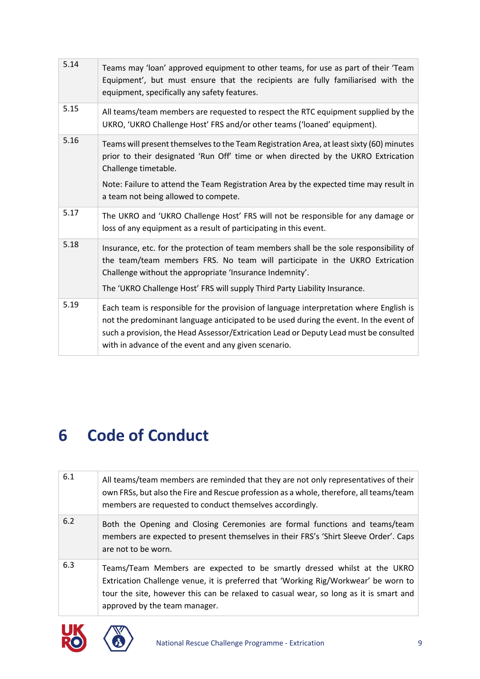| 5.14 | Teams may 'loan' approved equipment to other teams, for use as part of their 'Team<br>Equipment', but must ensure that the recipients are fully familiarised with the<br>equipment, specifically any safety features.                                                                                                            |
|------|----------------------------------------------------------------------------------------------------------------------------------------------------------------------------------------------------------------------------------------------------------------------------------------------------------------------------------|
| 5.15 | All teams/team members are requested to respect the RTC equipment supplied by the<br>UKRO, 'UKRO Challenge Host' FRS and/or other teams ('loaned' equipment).                                                                                                                                                                    |
| 5.16 | Teams will present themselves to the Team Registration Area, at least sixty (60) minutes<br>prior to their designated 'Run Off' time or when directed by the UKRO Extrication<br>Challenge timetable.                                                                                                                            |
|      | Note: Failure to attend the Team Registration Area by the expected time may result in<br>a team not being allowed to compete.                                                                                                                                                                                                    |
| 5.17 | The UKRO and 'UKRO Challenge Host' FRS will not be responsible for any damage or<br>loss of any equipment as a result of participating in this event.                                                                                                                                                                            |
| 5.18 | Insurance, etc. for the protection of team members shall be the sole responsibility of<br>the team/team members FRS. No team will participate in the UKRO Extrication<br>Challenge without the appropriate 'Insurance Indemnity'.<br>The 'UKRO Challenge Host' FRS will supply Third Party Liability Insurance.                  |
| 5.19 | Each team is responsible for the provision of language interpretation where English is<br>not the predominant language anticipated to be used during the event. In the event of<br>such a provision, the Head Assessor/Extrication Lead or Deputy Lead must be consulted<br>with in advance of the event and any given scenario. |

#### **6 Code of Conduct**

| 6.1 | All teams/team members are reminded that they are not only representatives of their<br>own FRSs, but also the Fire and Rescue profession as a whole, therefore, all teams/team<br>members are requested to conduct themselves accordingly.                                                |
|-----|-------------------------------------------------------------------------------------------------------------------------------------------------------------------------------------------------------------------------------------------------------------------------------------------|
| 6.2 | Both the Opening and Closing Ceremonies are formal functions and teams/team<br>members are expected to present themselves in their FRS's 'Shirt Sleeve Order'. Caps<br>are not to be worn.                                                                                                |
| 6.3 | Teams/Team Members are expected to be smartly dressed whilst at the UKRO<br>Extrication Challenge venue, it is preferred that 'Working Rig/Workwear' be worn to<br>tour the site, however this can be relaxed to casual wear, so long as it is smart and<br>approved by the team manager. |



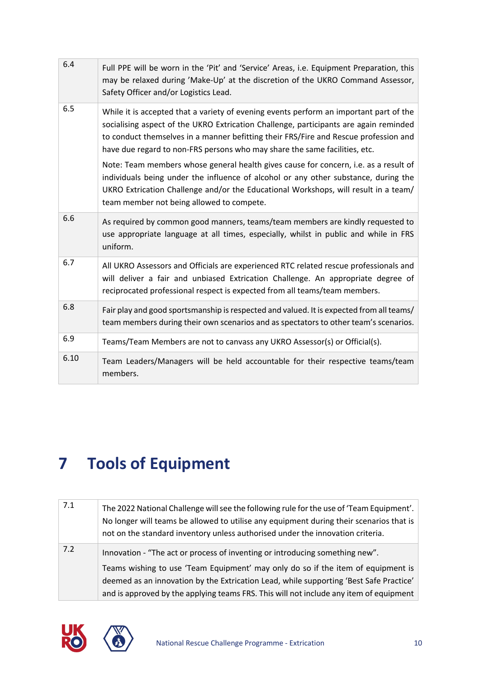| 6.4  | Full PPE will be worn in the 'Pit' and 'Service' Areas, i.e. Equipment Preparation, this<br>may be relaxed during 'Make-Up' at the discretion of the UKRO Command Assessor,<br>Safety Officer and/or Logistics Lead.                                                                                                                                  |
|------|-------------------------------------------------------------------------------------------------------------------------------------------------------------------------------------------------------------------------------------------------------------------------------------------------------------------------------------------------------|
| 6.5  | While it is accepted that a variety of evening events perform an important part of the<br>socialising aspect of the UKRO Extrication Challenge, participants are again reminded<br>to conduct themselves in a manner befitting their FRS/Fire and Rescue profession and<br>have due regard to non-FRS persons who may share the same facilities, etc. |
|      | Note: Team members whose general health gives cause for concern, i.e. as a result of<br>individuals being under the influence of alcohol or any other substance, during the<br>UKRO Extrication Challenge and/or the Educational Workshops, will result in a team/<br>team member not being allowed to compete.                                       |
| 6.6  | As required by common good manners, teams/team members are kindly requested to<br>use appropriate language at all times, especially, whilst in public and while in FRS<br>uniform.                                                                                                                                                                    |
| 6.7  | All UKRO Assessors and Officials are experienced RTC related rescue professionals and<br>will deliver a fair and unbiased Extrication Challenge. An appropriate degree of<br>reciprocated professional respect is expected from all teams/team members.                                                                                               |
| 6.8  | Fair play and good sportsmanship is respected and valued. It is expected from all teams/<br>team members during their own scenarios and as spectators to other team's scenarios.                                                                                                                                                                      |
| 6.9  | Teams/Team Members are not to canvass any UKRO Assessor(s) or Official(s).                                                                                                                                                                                                                                                                            |
| 6.10 | Team Leaders/Managers will be held accountable for their respective teams/team<br>members.                                                                                                                                                                                                                                                            |

## **7 Tools of Equipment**

| 7.1 | The 2022 National Challenge will see the following rule for the use of 'Team Equipment'.<br>No longer will teams be allowed to utilise any equipment during their scenarios that is<br>not on the standard inventory unless authorised under the innovation criteria. |
|-----|-----------------------------------------------------------------------------------------------------------------------------------------------------------------------------------------------------------------------------------------------------------------------|
| 7.2 | Innovation - "The act or process of inventing or introducing something new".                                                                                                                                                                                          |
|     | Teams wishing to use 'Team Equipment' may only do so if the item of equipment is                                                                                                                                                                                      |
|     | deemed as an innovation by the Extrication Lead, while supporting 'Best Safe Practice'                                                                                                                                                                                |
|     | and is approved by the applying teams FRS. This will not include any item of equipment                                                                                                                                                                                |



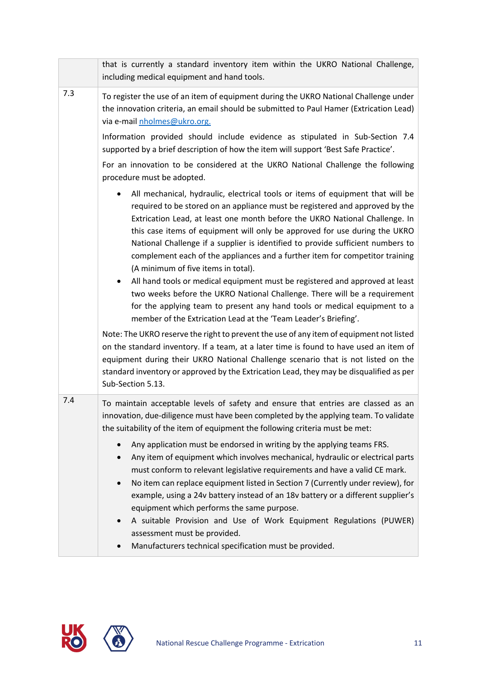|     | that is currently a standard inventory item within the UKRO National Challenge,<br>including medical equipment and hand tools.                                                                                                                                                                                                                                                                                                                                                                                                                                                                                                                                                                                                                                                                                                                                               |
|-----|------------------------------------------------------------------------------------------------------------------------------------------------------------------------------------------------------------------------------------------------------------------------------------------------------------------------------------------------------------------------------------------------------------------------------------------------------------------------------------------------------------------------------------------------------------------------------------------------------------------------------------------------------------------------------------------------------------------------------------------------------------------------------------------------------------------------------------------------------------------------------|
| 7.3 | To register the use of an item of equipment during the UKRO National Challenge under<br>the innovation criteria, an email should be submitted to Paul Hamer (Extrication Lead)<br>via e-mail nholmes@ukro.org.                                                                                                                                                                                                                                                                                                                                                                                                                                                                                                                                                                                                                                                               |
|     | Information provided should include evidence as stipulated in Sub-Section 7.4<br>supported by a brief description of how the item will support 'Best Safe Practice'.                                                                                                                                                                                                                                                                                                                                                                                                                                                                                                                                                                                                                                                                                                         |
|     | For an innovation to be considered at the UKRO National Challenge the following<br>procedure must be adopted.                                                                                                                                                                                                                                                                                                                                                                                                                                                                                                                                                                                                                                                                                                                                                                |
|     | All mechanical, hydraulic, electrical tools or items of equipment that will be<br>$\bullet$<br>required to be stored on an appliance must be registered and approved by the<br>Extrication Lead, at least one month before the UKRO National Challenge. In<br>this case items of equipment will only be approved for use during the UKRO<br>National Challenge if a supplier is identified to provide sufficient numbers to<br>complement each of the appliances and a further item for competitor training<br>(A minimum of five items in total).<br>All hand tools or medical equipment must be registered and approved at least<br>$\bullet$<br>two weeks before the UKRO National Challenge. There will be a requirement<br>for the applying team to present any hand tools or medical equipment to a<br>member of the Extrication Lead at the 'Team Leader's Briefing'. |
|     | Note: The UKRO reserve the right to prevent the use of any item of equipment not listed<br>on the standard inventory. If a team, at a later time is found to have used an item of<br>equipment during their UKRO National Challenge scenario that is not listed on the<br>standard inventory or approved by the Extrication Lead, they may be disqualified as per<br>Sub-Section 5.13.                                                                                                                                                                                                                                                                                                                                                                                                                                                                                       |
| 7.4 | To maintain acceptable levels of safety and ensure that entries are classed as an<br>innovation, due-diligence must have been completed by the applying team. To validate<br>the suitability of the item of equipment the following criteria must be met:                                                                                                                                                                                                                                                                                                                                                                                                                                                                                                                                                                                                                    |
|     | Any application must be endorsed in writing by the applying teams FRS.<br>$\bullet$<br>Any item of equipment which involves mechanical, hydraulic or electrical parts<br>$\bullet$<br>must conform to relevant legislative requirements and have a valid CE mark.<br>No item can replace equipment listed in Section 7 (Currently under review), for<br>$\bullet$<br>example, using a 24v battery instead of an 18v battery or a different supplier's<br>equipment which performs the same purpose.<br>A suitable Provision and Use of Work Equipment Regulations (PUWER)<br>$\bullet$<br>assessment must be provided.<br>Manufacturers technical specification must be provided.                                                                                                                                                                                            |

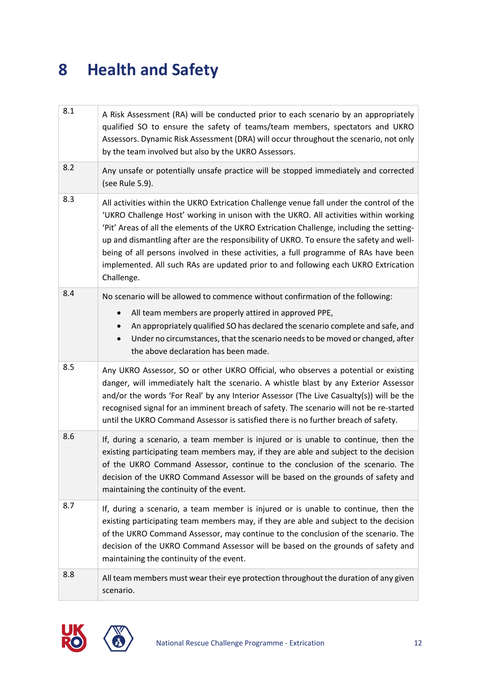#### **8 Health and Safety**

| 8.1 | A Risk Assessment (RA) will be conducted prior to each scenario by an appropriately<br>qualified SO to ensure the safety of teams/team members, spectators and UKRO<br>Assessors. Dynamic Risk Assessment (DRA) will occur throughout the scenario, not only<br>by the team involved but also by the UKRO Assessors.                                                                                                                                                                                                                                                 |  |  |  |
|-----|----------------------------------------------------------------------------------------------------------------------------------------------------------------------------------------------------------------------------------------------------------------------------------------------------------------------------------------------------------------------------------------------------------------------------------------------------------------------------------------------------------------------------------------------------------------------|--|--|--|
| 8.2 | Any unsafe or potentially unsafe practice will be stopped immediately and corrected<br>(see Rule 5.9).                                                                                                                                                                                                                                                                                                                                                                                                                                                               |  |  |  |
| 8.3 | All activities within the UKRO Extrication Challenge venue fall under the control of the<br>'UKRO Challenge Host' working in unison with the UKRO. All activities within working<br>'Pit' Areas of all the elements of the UKRO Extrication Challenge, including the setting-<br>up and dismantling after are the responsibility of UKRO. To ensure the safety and well-<br>being of all persons involved in these activities, a full programme of RAs have been<br>implemented. All such RAs are updated prior to and following each UKRO Extrication<br>Challenge. |  |  |  |
| 8.4 | No scenario will be allowed to commence without confirmation of the following:                                                                                                                                                                                                                                                                                                                                                                                                                                                                                       |  |  |  |
|     | All team members are properly attired in approved PPE,<br>An appropriately qualified SO has declared the scenario complete and safe, and<br>Under no circumstances, that the scenario needs to be moved or changed, after<br>$\bullet$<br>the above declaration has been made.                                                                                                                                                                                                                                                                                       |  |  |  |
| 8.5 | Any UKRO Assessor, SO or other UKRO Official, who observes a potential or existing<br>danger, will immediately halt the scenario. A whistle blast by any Exterior Assessor<br>and/or the words 'For Real' by any Interior Assessor (The Live Casualty(s)) will be the<br>recognised signal for an imminent breach of safety. The scenario will not be re-started<br>until the UKRO Command Assessor is satisfied there is no further breach of safety.                                                                                                               |  |  |  |
| 8.6 | If, during a scenario, a team member is injured or is unable to continue, then the<br>existing participating team members may, if they are able and subject to the decision<br>of the UKRO Command Assessor, continue to the conclusion of the scenario. The<br>decision of the UKRO Command Assessor will be based on the grounds of safety and<br>maintaining the continuity of the event.                                                                                                                                                                         |  |  |  |
| 8.7 | If, during a scenario, a team member is injured or is unable to continue, then the<br>existing participating team members may, if they are able and subject to the decision<br>of the UKRO Command Assessor, may continue to the conclusion of the scenario. The<br>decision of the UKRO Command Assessor will be based on the grounds of safety and<br>maintaining the continuity of the event.                                                                                                                                                                     |  |  |  |
| 8.8 | All team members must wear their eye protection throughout the duration of any given<br>scenario.                                                                                                                                                                                                                                                                                                                                                                                                                                                                    |  |  |  |



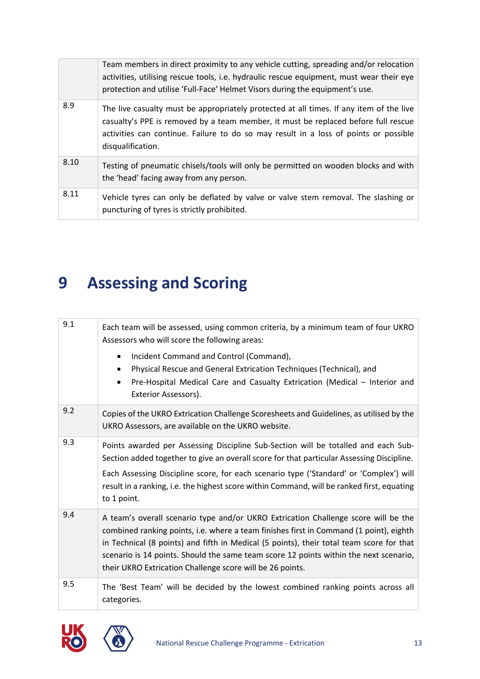|      | Team members in direct proximity to any vehicle cutting, spreading and/or relocation<br>activities, utilising rescue tools, i.e. hydraulic rescue equipment, must wear their eye<br>protection and utilise 'Full-Face' Helmet Visors during the equipment's use.                           |
|------|--------------------------------------------------------------------------------------------------------------------------------------------------------------------------------------------------------------------------------------------------------------------------------------------|
| 8.9  | The live casualty must be appropriately protected at all times. If any item of the live<br>casualty's PPE is removed by a team member, it must be replaced before full rescue<br>activities can continue. Failure to do so may result in a loss of points or possible<br>disqualification. |
| 8.10 | Testing of pneumatic chisels/tools will only be permitted on wooden blocks and with<br>the 'head' facing away from any person.                                                                                                                                                             |
| 8.11 | Vehicle tyres can only be deflated by valve or valve stem removal. The slashing or<br>puncturing of tyres is strictly prohibited.                                                                                                                                                          |

# **9 Assessing and Scoring**

| 9.1 | Each team will be assessed, using common criteria, by a minimum team of four UKRO<br>Assessors who will score the following areas:<br>Incident Command and Control (Command),<br>$\bullet$<br>Physical Rescue and General Extrication Techniques (Technical), and<br>$\bullet$<br>Pre-Hospital Medical Care and Casualty Extrication (Medical - Interior and<br>$\bullet$<br>Exterior Assessors).                              |
|-----|--------------------------------------------------------------------------------------------------------------------------------------------------------------------------------------------------------------------------------------------------------------------------------------------------------------------------------------------------------------------------------------------------------------------------------|
| 9.2 | Copies of the UKRO Extrication Challenge Scoresheets and Guidelines, as utilised by the<br>UKRO Assessors, are available on the UKRO website.                                                                                                                                                                                                                                                                                  |
| 9.3 | Points awarded per Assessing Discipline Sub-Section will be totalled and each Sub-<br>Section added together to give an overall score for that particular Assessing Discipline.<br>Each Assessing Discipline score, for each scenario type ('Standard' or 'Complex') will<br>result in a ranking, i.e. the highest score within Command, will be ranked first, equating<br>to 1 point.                                         |
| 9.4 | A team's overall scenario type and/or UKRO Extrication Challenge score will be the<br>combined ranking points, i.e. where a team finishes first in Command (1 point), eighth<br>in Technical (8 points) and fifth in Medical (5 points), their total team score for that<br>scenario is 14 points. Should the same team score 12 points within the next scenario,<br>their UKRO Extrication Challenge score will be 26 points. |
| 9.5 | The 'Best Team' will be decided by the lowest combined ranking points across all<br>categories.                                                                                                                                                                                                                                                                                                                                |



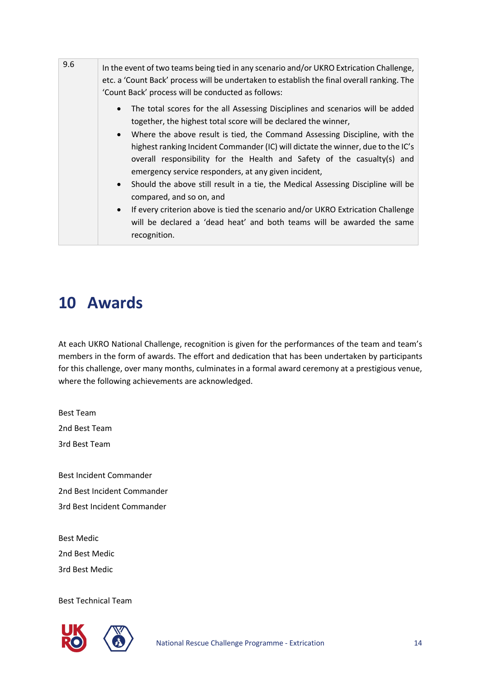| 9.6 | In the event of two teams being tied in any scenario and/or UKRO Extrication Challenge,<br>etc. a 'Count Back' process will be undertaken to establish the final overall ranking. The<br>'Count Back' process will be conducted as follows: |                                                                                                                                                                                                                                                                                                                                                                                                                                                                                                                                                                                                                                                                                                                                                                     |  |  |
|-----|---------------------------------------------------------------------------------------------------------------------------------------------------------------------------------------------------------------------------------------------|---------------------------------------------------------------------------------------------------------------------------------------------------------------------------------------------------------------------------------------------------------------------------------------------------------------------------------------------------------------------------------------------------------------------------------------------------------------------------------------------------------------------------------------------------------------------------------------------------------------------------------------------------------------------------------------------------------------------------------------------------------------------|--|--|
|     |                                                                                                                                                                                                                                             | The total scores for the all Assessing Disciplines and scenarios will be added<br>$\bullet$<br>together, the highest total score will be declared the winner,<br>Where the above result is tied, the Command Assessing Discipline, with the<br>highest ranking Incident Commander (IC) will dictate the winner, due to the IC's<br>overall responsibility for the Health and Safety of the casualty(s) and<br>emergency service responders, at any given incident,<br>• Should the above still result in a tie, the Medical Assessing Discipline will be<br>compared, and so on, and<br>• If every criterion above is tied the scenario and/or UKRO Extrication Challenge<br>will be declared a 'dead heat' and both teams will be awarded the same<br>recognition. |  |  |

#### **10 Awards**

At each UKRO National Challenge, recognition is given for the performances of the team and team's members in the form of awards. The effort and dedication that has been undertaken by participants for this challenge, over many months, culminates in a formal award ceremony at a prestigious venue, where the following achievements are acknowledged.

Best Team 2nd Best Team 3rd Best Team

Best Incident Commander 2nd Best Incident Commander 3rd Best Incident Commander

Best Medic 2nd Best Medic 3rd Best Medic

Best Technical Team

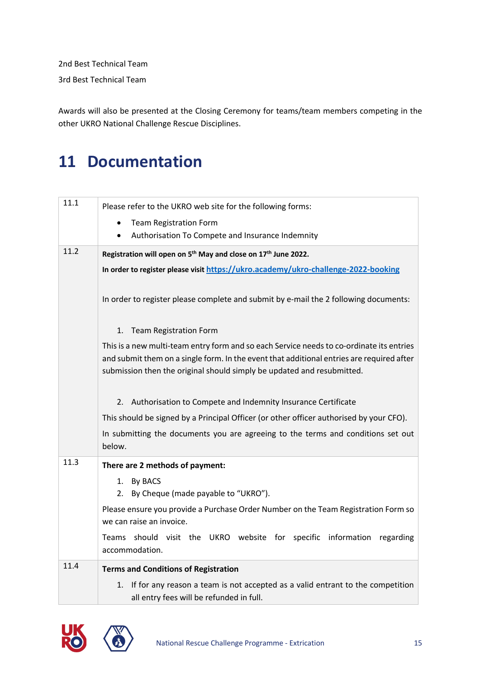2nd Best Technical Team

3rd Best Technical Team

Awards will also be presented at the Closing Ceremony for teams/team members competing in the other UKRO National Challenge Rescue Disciplines.

#### **11 Documentation**

| 11.1                                                                                     | Please refer to the UKRO web site for the following forms:                                                                       |  |  |
|------------------------------------------------------------------------------------------|----------------------------------------------------------------------------------------------------------------------------------|--|--|
|                                                                                          | <b>Team Registration Form</b><br>$\bullet$                                                                                       |  |  |
|                                                                                          | Authorisation To Compete and Insurance Indemnity                                                                                 |  |  |
| 11.2                                                                                     | Registration will open on 5 <sup>th</sup> May and close on 17 <sup>th</sup> June 2022.                                           |  |  |
|                                                                                          | In order to register please visit https://ukro.academy/ukro-challenge-2022-booking                                               |  |  |
|                                                                                          | In order to register please complete and submit by e-mail the 2 following documents:                                             |  |  |
|                                                                                          | 1. Team Registration Form                                                                                                        |  |  |
| This is a new multi-team entry form and so each Service needs to co-ordinate its entries |                                                                                                                                  |  |  |
|                                                                                          | and submit them on a single form. In the event that additional entries are required after                                        |  |  |
|                                                                                          | submission then the original should simply be updated and resubmitted.                                                           |  |  |
|                                                                                          |                                                                                                                                  |  |  |
|                                                                                          | 2. Authorisation to Compete and Indemnity Insurance Certificate                                                                  |  |  |
|                                                                                          | This should be signed by a Principal Officer (or other officer authorised by your CFO).                                          |  |  |
|                                                                                          | In submitting the documents you are agreeing to the terms and conditions set out<br>below.                                       |  |  |
| 11.3                                                                                     |                                                                                                                                  |  |  |
|                                                                                          | There are 2 methods of payment:                                                                                                  |  |  |
|                                                                                          | <b>By BACS</b><br>1.                                                                                                             |  |  |
|                                                                                          | 2. By Cheque (made payable to "UKRO").                                                                                           |  |  |
|                                                                                          | Please ensure you provide a Purchase Order Number on the Team Registration Form so<br>we can raise an invoice.                   |  |  |
|                                                                                          | Teams should visit the UKRO website for specific information<br>regarding<br>accommodation.                                      |  |  |
| 11.4                                                                                     | <b>Terms and Conditions of Registration</b>                                                                                      |  |  |
|                                                                                          | If for any reason a team is not accepted as a valid entrant to the competition<br>1.<br>all entry fees will be refunded in full. |  |  |